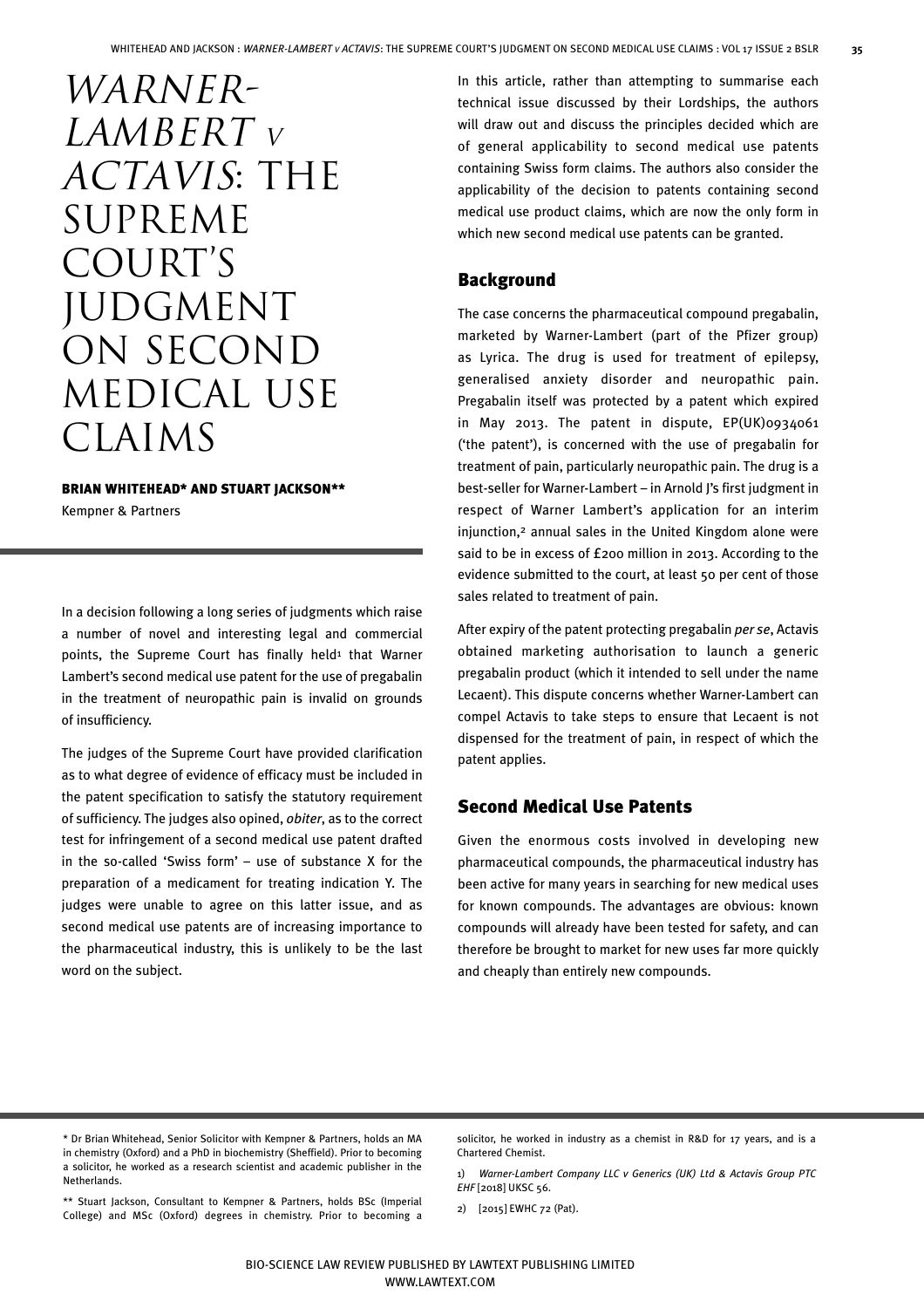WARNER-LAMBERT V Actavis: the SUPREME COURT'S **JUDGMENT** on second medical use CLAIMS

#### BRIAN WHITEHEAD\* AND STUART JACKSON\*\*

Kempner & Partners

In a decision following a long series of judgments which raise a number of novel and interesting legal and commercial points, the Supreme Court has finally held<sup>1</sup> that Warner Lambert's second medical use patent for the use of pregabalin in the treatment of neuropathic pain is invalid on grounds of insufficiency.

The judges of the Supreme Court have provided clarification as to what degree of evidence of efficacy must be included in the patent specification to satisfy the statutory requirement of sufficiency. The judges also opined, *obiter*, as to the correct test for infringement of a second medical use patent drafted in the so-called 'Swiss form' – use of substance X for the preparation of a medicament for treating indication Y. The judges were unable to agree on this latter issue, and as second medical use patents are of increasing importance to the pharmaceutical industry, this is unlikely to be the last word on the subject.

In this article, rather than attempting to summarise each technical issue discussed by their Lordships, the authors will draw out and discuss the principles decided which are of general applicability to second medical use patents containing Swiss form claims. The authors also consider the applicability of the decision to patents containing second medical use product claims, which are now the only form in which new second medical use patents can be granted.

# Background

The case concerns the pharmaceutical compound pregabalin, marketed by Warner-Lambert (part of the Pfizer group) as Lyrica. The drug is used for treatment of epilepsy, generalised anxiety disorder and neuropathic pain. Pregabalin itself was protected by a patent which expired in May 2013. The patent in dispute, EP(UK)0934061 ('the patent'), is concerned with the use of pregabalin for treatment of pain, particularly neuropathic pain. The drug is a best-seller for Warner-Lambert – in Arnold J's first judgment in respect of Warner Lambert's application for an interim injunction,2 annual sales in the United Kingdom alone were said to be in excess of £200 million in 2013. According to the evidence submitted to the court, at least 50 per cent of those sales related to treatment of pain.

After expiry of the patent protecting pregabalin *per se*, Actavis obtained marketing authorisation to launch a generic pregabalin product (which it intended to sell under the name Lecaent). This dispute concerns whether Warner-Lambert can compel Actavis to take steps to ensure that Lecaent is not dispensed for the treatment of pain, in respect of which the patent applies.

# Second Medical Use Patents

Given the enormous costs involved in developing new pharmaceutical compounds, the pharmaceutical industry has been active for many years in searching for new medical uses for known compounds. The advantages are obvious: known compounds will already have been tested for safety, and can therefore be brought to market for new uses far more quickly and cheaply than entirely new compounds.

\*\* Stuart Jackson, Consultant to Kempner & Partners, holds BSc (Imperial College) and MSc (Oxford) degrees in chemistry. Prior to becoming a

solicitor, he worked in industry as a chemist in R&D for 17 years, and is a Chartered Chemist.

1) *Warner-Lambert Company LLC v Generics (UK) Ltd & Actavis Group PTC EHF* [2018] UKSC 56.

2) [2015] EWHC 72 (Pat).

<sup>\*</sup> Dr Brian Whitehead, Senior Solicitor with Kempner & Partners, holds an MA in chemistry (Oxford) and a PhD in biochemistry (Sheffield). Prior to becoming a solicitor, he worked as a research scientist and academic publisher in the Netherlands.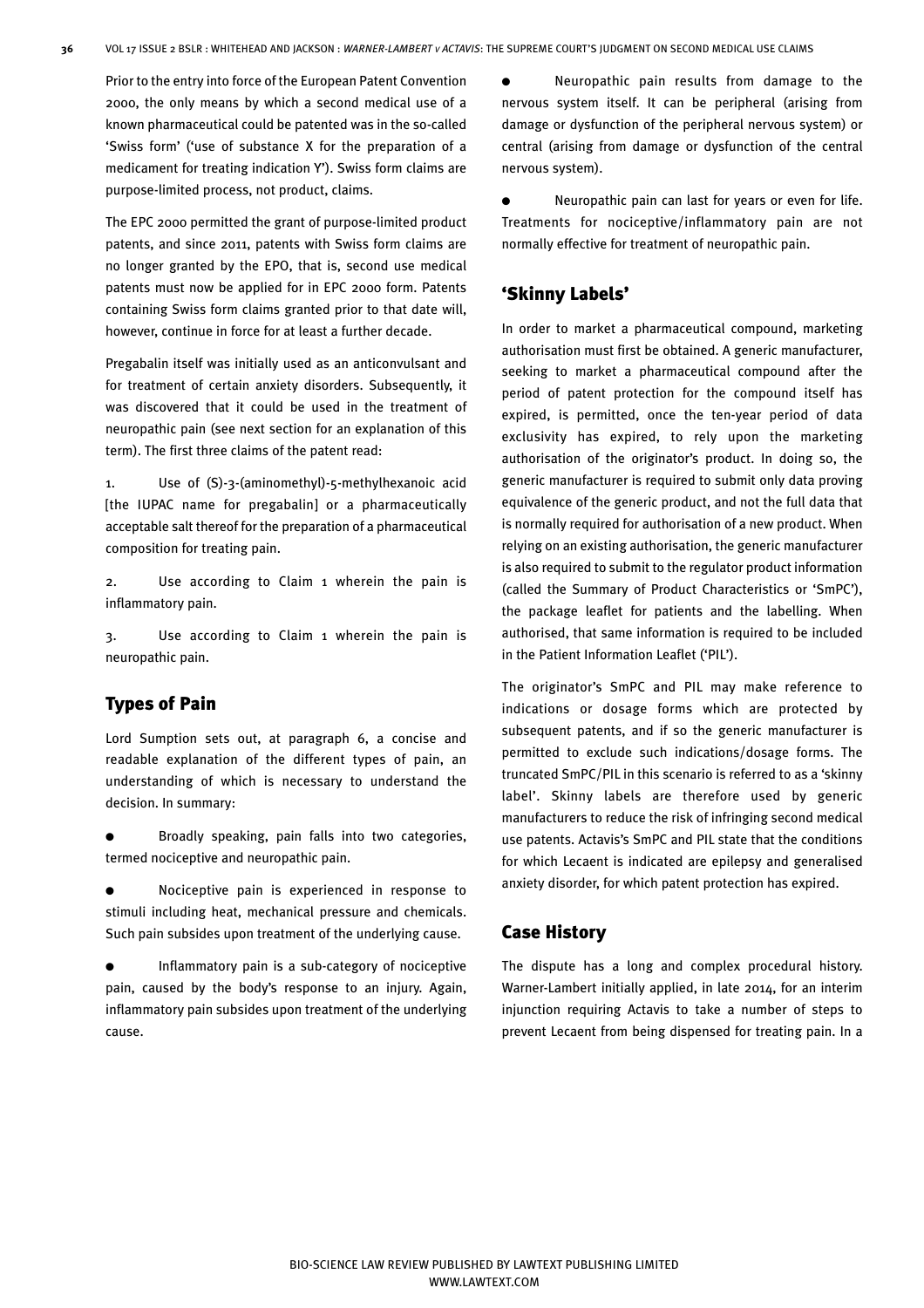Prior to the entry into force of the European Patent Convention 2000, the only means by which a second medical use of a known pharmaceutical could be patented was in the so-called 'Swiss form' ('use of substance X for the preparation of a medicament for treating indication Y'). Swiss form claims are purpose-limited process, not product, claims.

The EPC 2000 permitted the grant of purpose-limited product patents, and since 2011, patents with Swiss form claims are no longer granted by the EPO, that is, second use medical patents must now be applied for in EPC 2000 form. Patents containing Swiss form claims granted prior to that date will, however, continue in force for at least a further decade.

Pregabalin itself was initially used as an anticonvulsant and for treatment of certain anxiety disorders. Subsequently, it was discovered that it could be used in the treatment of neuropathic pain (see next section for an explanation of this term). The first three claims of the patent read:

1. Use of (S)-3-(aminomethyl)-5-methylhexanoic acid [the IUPAC name for pregabalin] or a pharmaceutically acceptable salt thereof for the preparation of a pharmaceutical composition for treating pain.

2. Use according to Claim 1 wherein the pain is inflammatory pain.

3. Use according to Claim 1 wherein the pain is neuropathic pain.

# Types of Pain

Lord Sumption sets out, at paragraph 6, a concise and readable explanation of the different types of pain, an understanding of which is necessary to understand the decision. In summary:

Broadly speaking, pain falls into two categories, termed nociceptive and neuropathic pain.

Nociceptive pain is experienced in response to stimuli including heat, mechanical pressure and chemicals. Such pain subsides upon treatment of the underlying cause.

Inflammatory pain is a sub-category of nociceptive pain, caused by the body's response to an injury. Again, inflammatory pain subsides upon treatment of the underlying cause.

- Neuropathic pain results from damage to the nervous system itself. It can be peripheral (arising from damage or dysfunction of the peripheral nervous system) or central (arising from damage or dysfunction of the central nervous system).
- Neuropathic pain can last for years or even for life. Treatments for nociceptive/inflammatory pain are not normally effective for treatment of neuropathic pain.

## 'Skinny Labels'

In order to market a pharmaceutical compound, marketing authorisation must first be obtained. A generic manufacturer, seeking to market a pharmaceutical compound after the period of patent protection for the compound itself has expired, is permitted, once the ten-year period of data exclusivity has expired, to rely upon the marketing authorisation of the originator's product. In doing so, the generic manufacturer is required to submit only data proving equivalence of the generic product, and not the full data that is normally required for authorisation of a new product. When relying on an existing authorisation, the generic manufacturer is also required to submit to the regulator product information (called the Summary of Product Characteristics or 'SmPC'), the package leaflet for patients and the labelling. When authorised, that same information is required to be included in the Patient Information Leaflet ('PIL').

The originator's SmPC and PIL may make reference to indications or dosage forms which are protected by subsequent patents, and if so the generic manufacturer is permitted to exclude such indications/dosage forms. The truncated SmPC/PIL in this scenario is referred to as a 'skinny label'. Skinny labels are therefore used by generic manufacturers to reduce the risk of infringing second medical use patents. Actavis's SmPC and PIL state that the conditions for which Lecaent is indicated are epilepsy and generalised anxiety disorder, for which patent protection has expired.

#### Case History

The dispute has a long and complex procedural history. Warner-Lambert initially applied, in late 2014, for an interim injunction requiring Actavis to take a number of steps to prevent Lecaent from being dispensed for treating pain. In a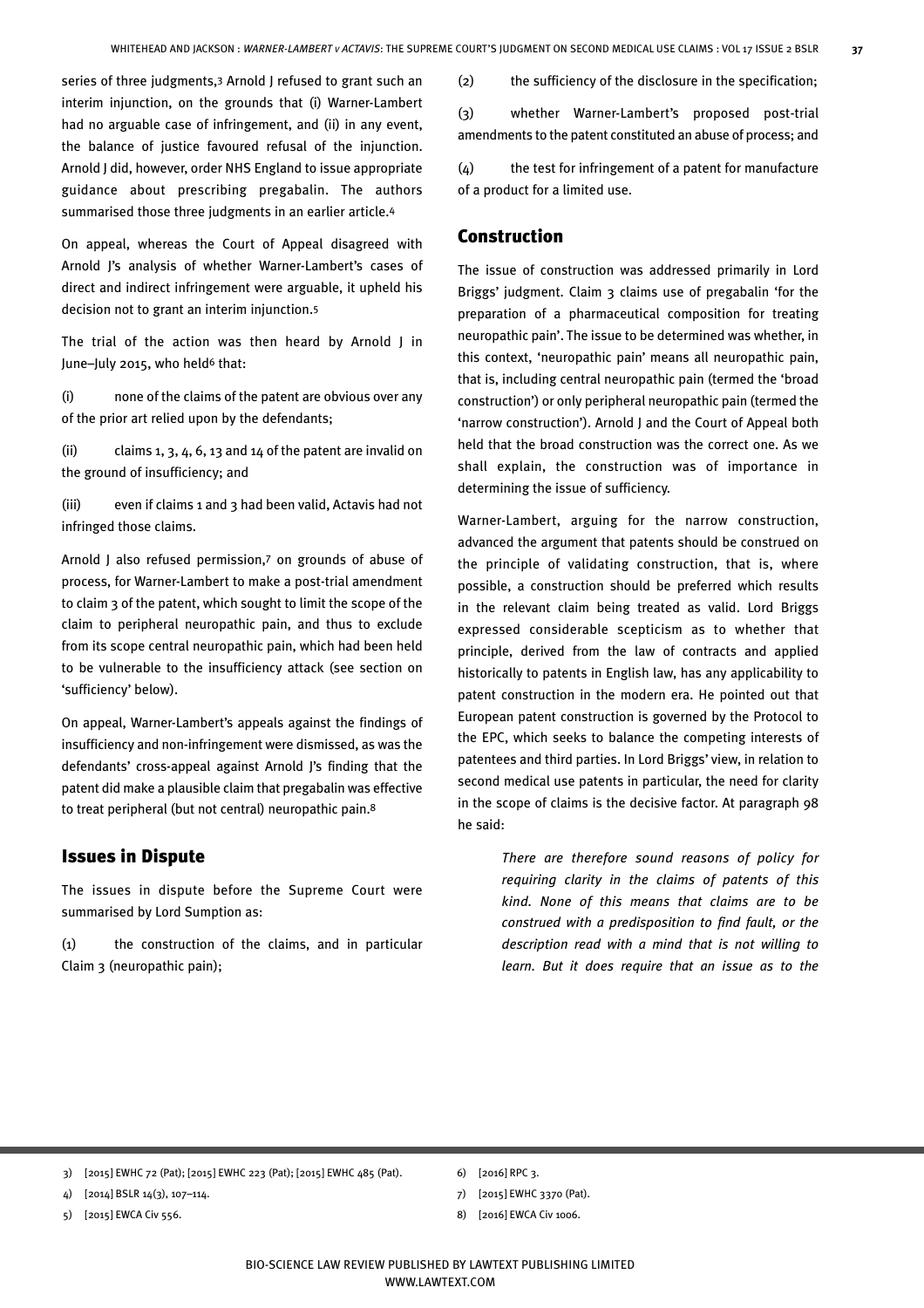series of three judgments,3 Arnold J refused to grant such an interim injunction, on the grounds that (i) Warner-Lambert had no arguable case of infringement, and (ii) in any event, the balance of justice favoured refusal of the injunction. Arnold J did, however, order NHS England to issue appropriate guidance about prescribing pregabalin. The authors summarised those three judgments in an earlier article.4

On appeal, whereas the Court of Appeal disagreed with Arnold J's analysis of whether Warner-Lambert's cases of direct and indirect infringement were arguable, it upheld his decision not to grant an interim injunction.5

The trial of the action was then heard by Arnold J in June-July 2015, who held<sup>6</sup> that:

(i) none of the claims of the patent are obvious over any of the prior art relied upon by the defendants;

(ii) claims  $1, 3, 4, 6, 13$  and  $14$  of the patent are invalid on the ground of insufficiency; and

(iii) even if claims 1 and 3 had been valid, Actavis had not infringed those claims.

Arnold J also refused permission,7 on grounds of abuse of process, for Warner-Lambert to make a post-trial amendment to claim 3 of the patent, which sought to limit the scope of the claim to peripheral neuropathic pain, and thus to exclude from its scope central neuropathic pain, which had been held to be vulnerable to the insufficiency attack (see section on 'sufficiency' below).

On appeal, Warner-Lambert's appeals against the findings of insufficiency and non-infringement were dismissed, as was the defendants' cross-appeal against Arnold J's finding that the patent did make a plausible claim that pregabalin was effective to treat peripheral (but not central) neuropathic pain.8

#### Issues in Dispute

The issues in dispute before the Supreme Court were summarised by Lord Sumption as:

(1) the construction of the claims, and in particular Claim 3 (neuropathic pain);

(2) the sufficiency of the disclosure in the specification;

(3) whether Warner-Lambert's proposed post-trial amendments to the patent constituted an abuse of process; and

(4) the test for infringement of a patent for manufacture of a product for a limited use.

#### Construction

The issue of construction was addressed primarily in Lord Briggs' judgment. Claim 3 claims use of pregabalin 'for the preparation of a pharmaceutical composition for treating neuropathic pain'. The issue to be determined was whether, in this context, 'neuropathic pain' means all neuropathic pain, that is, including central neuropathic pain (termed the 'broad construction') or only peripheral neuropathic pain (termed the 'narrow construction'). Arnold J and the Court of Appeal both held that the broad construction was the correct one. As we shall explain, the construction was of importance in determining the issue of sufficiency.

Warner-Lambert, arguing for the narrow construction, advanced the argument that patents should be construed on the principle of validating construction, that is, where possible, a construction should be preferred which results in the relevant claim being treated as valid. Lord Briggs expressed considerable scepticism as to whether that principle, derived from the law of contracts and applied historically to patents in English law, has any applicability to patent construction in the modern era. He pointed out that European patent construction is governed by the Protocol to the EPC, which seeks to balance the competing interests of patentees and third parties. In Lord Briggs' view, in relation to second medical use patents in particular, the need for clarity in the scope of claims is the decisive factor. At paragraph 98 he said:

> *There are therefore sound reasons of policy for requiring clarity in the claims of patents of this kind. None of this means that claims are to be construed with a predisposition to find fault, or the description read with a mind that is not willing to learn. But it does require that an issue as to the*

5) [2015] EWCA Civ 556.

- 6) [2016] RPC 3.
- 7) [2015] EWHC 3370 (Pat).
- 8) [2016] EWCA Civ 1006.

<sup>3) [2015]</sup> EWHC 72 (Pat); [2015] EWHC 223 (Pat); [2015] EWHC 485 (Pat).

<sup>4) [2014]</sup> BSLR 14(3), 107–114.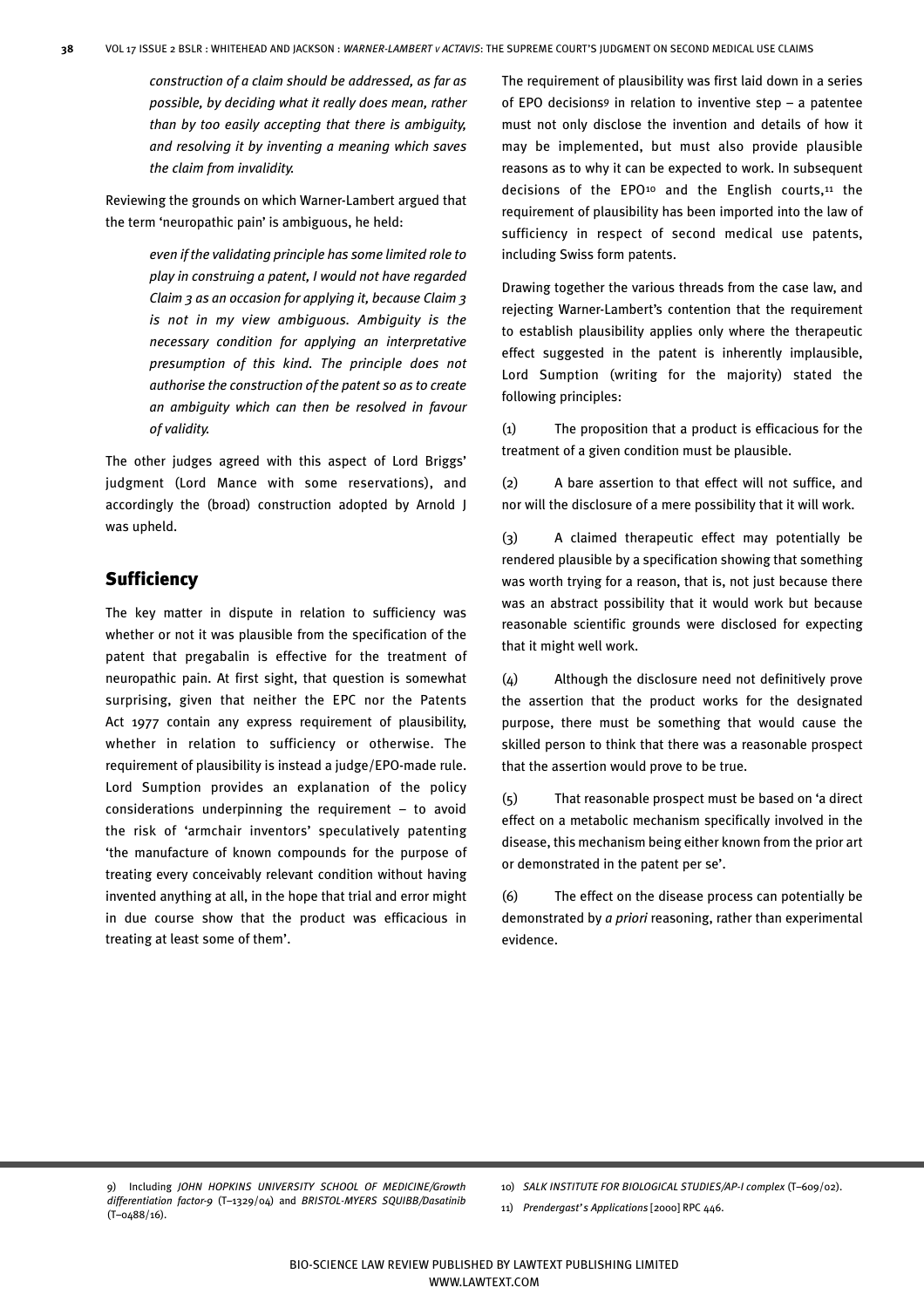*construction of a claim should be addressed, as far as possible, by deciding what it really does mean, rather than by too easily accepting that there is ambiguity, and resolving it by inventing a meaning which saves the claim from invalidity.*

Reviewing the grounds on which Warner-Lambert argued that the term 'neuropathic pain' is ambiguous, he held:

> *even if the validating principle has some limited role to play in construing a patent, I would not have regarded Claim 3 as an occasion for applying it, because Claim 3 is not in my view ambiguous. Ambiguity is the necessary condition for applying an interpretative presumption of this kind. The principle does not authorise the construction of the patent so as to create an ambiguity which can then be resolved in favour of validity.*

The other judges agreed with this aspect of Lord Briggs' judgment (Lord Mance with some reservations), and accordingly the (broad) construction adopted by Arnold J was upheld.

# **Sufficiency**

The key matter in dispute in relation to sufficiency was whether or not it was plausible from the specification of the patent that pregabalin is effective for the treatment of neuropathic pain. At first sight, that question is somewhat surprising, given that neither the EPC nor the Patents Act 1977 contain any express requirement of plausibility, whether in relation to sufficiency or otherwise. The requirement of plausibility is instead a judge/EPO-made rule. Lord Sumption provides an explanation of the policy considerations underpinning the requirement – to avoid the risk of 'armchair inventors' speculatively patenting 'the manufacture of known compounds for the purpose of treating every conceivably relevant condition without having invented anything at all, in the hope that trial and error might in due course show that the product was efficacious in treating at least some of them'.

The requirement of plausibility was first laid down in a series of EPO decisions9 in relation to inventive step – a patentee must not only disclose the invention and details of how it may be implemented, but must also provide plausible reasons as to why it can be expected to work. In subsequent decisions of the EPO<sup>10</sup> and the English courts,<sup>11</sup> the requirement of plausibility has been imported into the law of sufficiency in respect of second medical use patents, including Swiss form patents.

Drawing together the various threads from the case law, and rejecting Warner-Lambert's contention that the requirement to establish plausibility applies only where the therapeutic effect suggested in the patent is inherently implausible, Lord Sumption (writing for the majority) stated the following principles:

(1) The proposition that a product is efficacious for the treatment of a given condition must be plausible.

(2) A bare assertion to that effect will not suffice, and nor will the disclosure of a mere possibility that it will work.

(3) A claimed therapeutic effect may potentially be rendered plausible by a specification showing that something was worth trying for a reason, that is, not just because there was an abstract possibility that it would work but because reasonable scientific grounds were disclosed for expecting that it might well work.

(4) Although the disclosure need not definitively prove the assertion that the product works for the designated purpose, there must be something that would cause the skilled person to think that there was a reasonable prospect that the assertion would prove to be true.

(5) That reasonable prospect must be based on 'a direct effect on a metabolic mechanism specifically involved in the disease, this mechanism being either known from the prior art or demonstrated in the patent per se'.

(6) The effect on the disease process can potentially be demonstrated by *a priori* reasoning, rather than experimental evidence.

9) Including *JOHN HOPKINS UNIVERSITY SCHOOL OF MEDICINE/Growth differentiation factor-9* (T–1329/04) and *BRISTOL-MYERS SQUIBB/Dasatinib* (T–0488/16).

10) *SALK INSTITUTE FOR BIOLOGICAL STUDIES/AP-I complex* (T–609/02).

11) *Prendergast's Applications* [2000] RPC 446.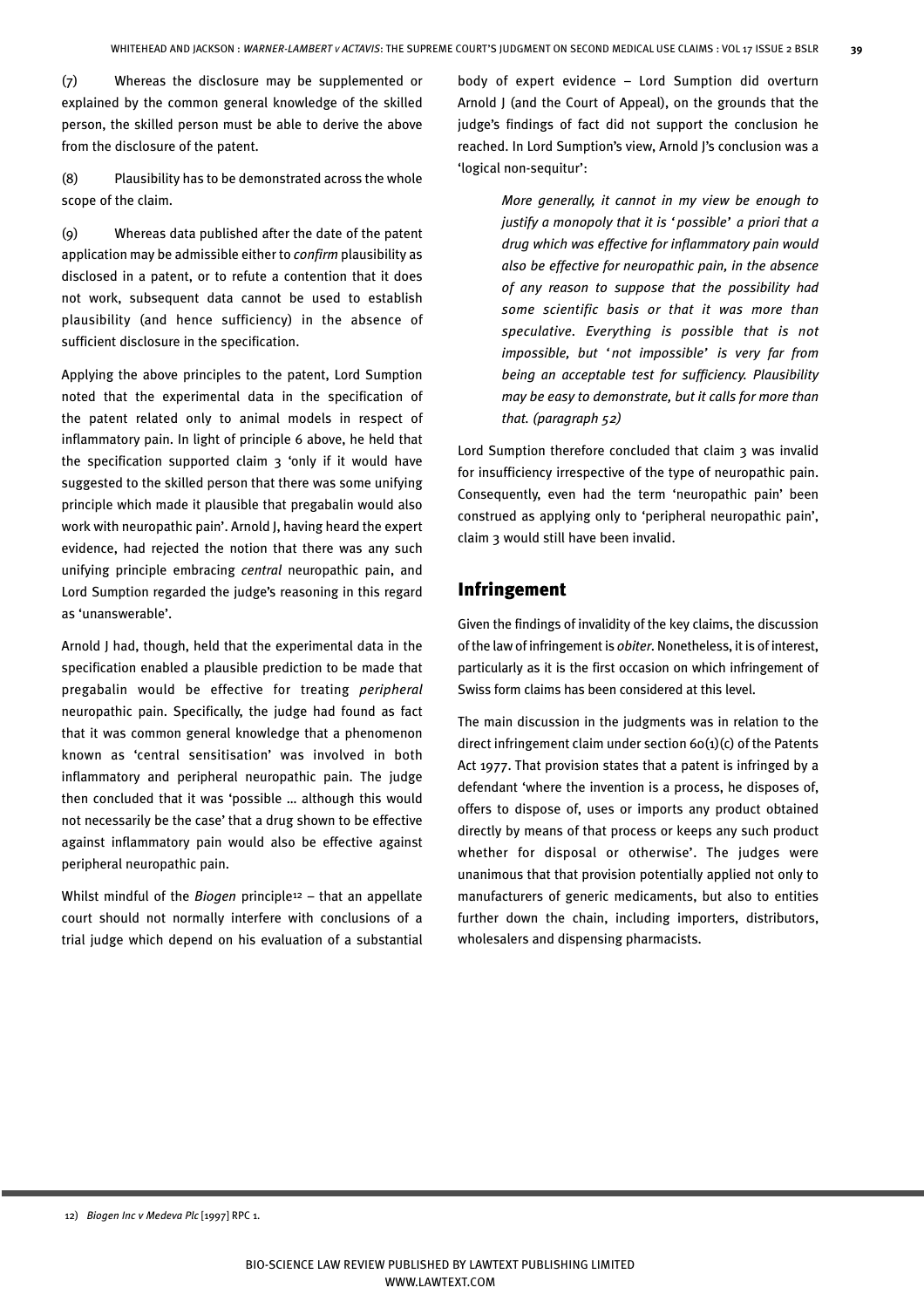(7) Whereas the disclosure may be supplemented or explained by the common general knowledge of the skilled person, the skilled person must be able to derive the above from the disclosure of the patent.

(8) Plausibility has to be demonstrated across the whole scope of the claim.

(9) Whereas data published after the date of the patent application may be admissible either to *confirm* plausibility as disclosed in a patent, or to refute a contention that it does not work, subsequent data cannot be used to establish plausibility (and hence sufficiency) in the absence of sufficient disclosure in the specification.

Applying the above principles to the patent, Lord Sumption noted that the experimental data in the specification of the patent related only to animal models in respect of inflammatory pain. In light of principle 6 above, he held that the specification supported claim  $3$  'only if it would have suggested to the skilled person that there was some unifying principle which made it plausible that pregabalin would also work with neuropathic pain'. Arnold J, having heard the expert evidence, had rejected the notion that there was any such unifying principle embracing *central* neuropathic pain, and Lord Sumption regarded the judge's reasoning in this regard as 'unanswerable'.

Arnold J had, though, held that the experimental data in the specification enabled a plausible prediction to be made that pregabalin would be effective for treating *peripheral* neuropathic pain. Specifically, the judge had found as fact that it was common general knowledge that a phenomenon known as 'central sensitisation' was involved in both inflammatory and peripheral neuropathic pain. The judge then concluded that it was 'possible … although this would not necessarily be the case' that a drug shown to be effective against inflammatory pain would also be effective against peripheral neuropathic pain.

Whilst mindful of the *Biogen* principle12 – that an appellate court should not normally interfere with conclusions of a trial judge which depend on his evaluation of a substantial body of expert evidence – Lord Sumption did overturn Arnold J (and the Court of Appeal), on the grounds that the judge's findings of fact did not support the conclusion he reached. In Lord Sumption's view, Arnold J's conclusion was a 'logical non-sequitur':

> *More generally, it cannot in my view be enough to justify a monopoly that it is 'possible' a priori that a drug which was effective for inflammatory pain would also be effective for neuropathic pain, in the absence of any reason to suppose that the possibility had some scientific basis or that it was more than speculative. Everything is possible that is not impossible, but 'not impossible' is very far from being an acceptable test for sufficiency. Plausibility may be easy to demonstrate, but it calls for more than that. (paragraph 52)*

Lord Sumption therefore concluded that claim 3 was invalid for insufficiency irrespective of the type of neuropathic pain. Consequently, even had the term 'neuropathic pain' been construed as applying only to 'peripheral neuropathic pain', claim 3 would still have been invalid.

## Infringement

Given the findings of invalidity of the key claims, the discussion of the law of infringement is *obiter*. Nonetheless, it is of interest, particularly as it is the first occasion on which infringement of Swiss form claims has been considered at this level.

The main discussion in the judgments was in relation to the direct infringement claim under section 60(1)(c) of the Patents Act 1977. That provision states that a patent is infringed by a defendant 'where the invention is a process, he disposes of, offers to dispose of, uses or imports any product obtained directly by means of that process or keeps any such product whether for disposal or otherwise'. The judges were unanimous that that provision potentially applied not only to manufacturers of generic medicaments, but also to entities further down the chain, including importers, distributors, wholesalers and dispensing pharmacists.

12) *Biogen Inc v Medeva Plc* [1997] RPC 1.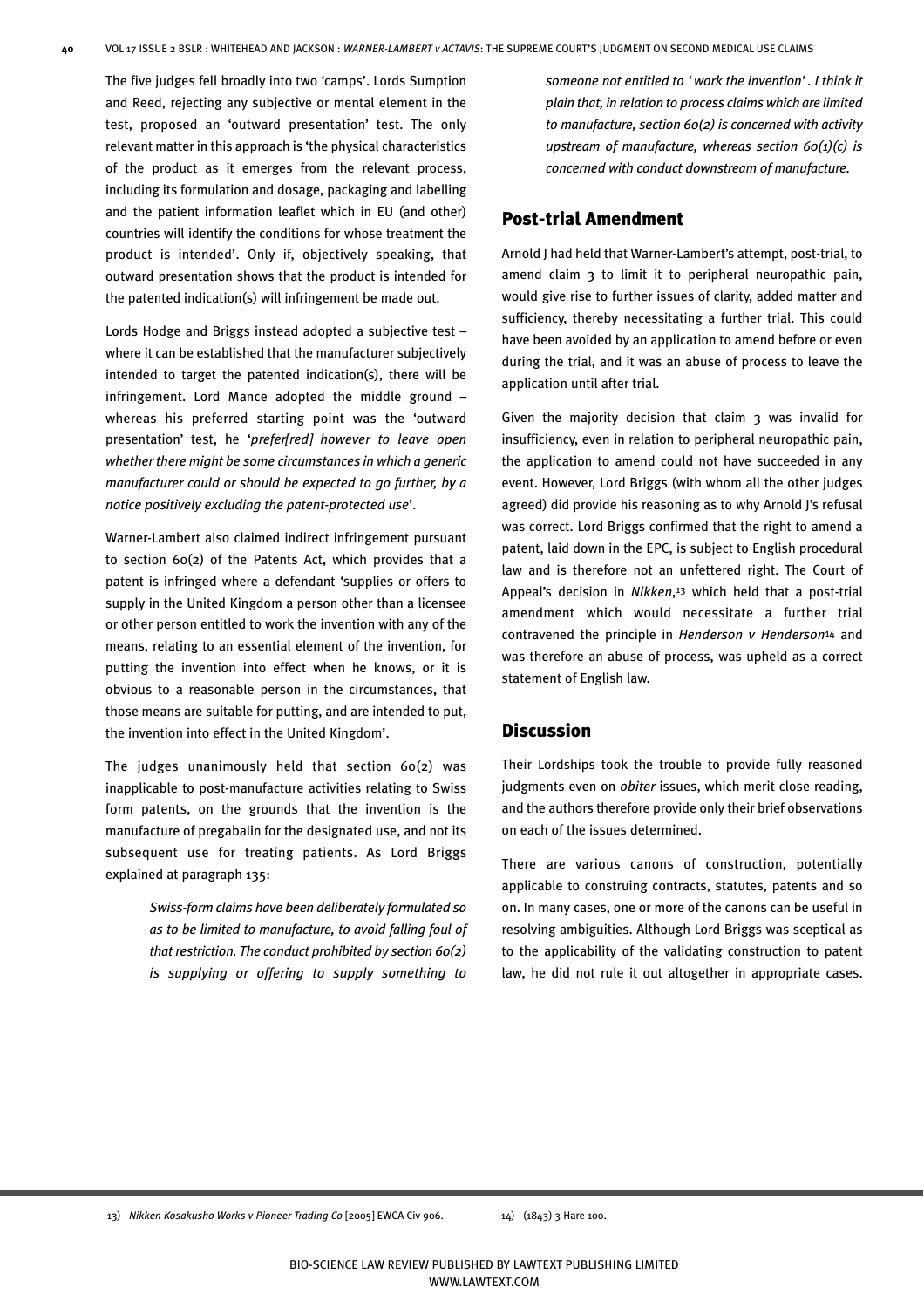The five judges fell broadly into two 'camps'. Lords Sumption and Reed, rejecting any subjective or mental element in the test, proposed an 'outward presentation' test. The only relevant matter in this approach is 'the physical characteristics of the product as it emerges from the relevant process, including its formulation and dosage, packaging and labelling and the patient information leaflet which in EU (and other) countries will identify the conditions for whose treatment the product is intended'. Only if, objectively speaking, that outward presentation shows that the product is intended for the patented indication(s) will infringement be made out.

Lords Hodge and Briggs instead adopted a subjective test – where it can be established that the manufacturer subjectively intended to target the patented indication(s), there will be infringement. Lord Mance adopted the middle ground – whereas his preferred starting point was the 'outward presentation' test, he '*prefer[red] however to leave open whether there might be some circumstances in which a generic manufacturer could or should be expected to go further, by a notice positively excluding the patent-protected use*'.

Warner-Lambert also claimed indirect infringement pursuant to section 60(2) of the Patents Act, which provides that a patent is infringed where a defendant 'supplies or offers to supply in the United Kingdom a person other than a licensee or other person entitled to work the invention with any of the means, relating to an essential element of the invention, for putting the invention into effect when he knows, or it is obvious to a reasonable person in the circumstances, that those means are suitable for putting, and are intended to put, the invention into effect in the United Kingdom'.

The judges unanimously held that section 60(2) was inapplicable to post-manufacture activities relating to Swiss form patents, on the grounds that the invention is the manufacture of pregabalin for the designated use, and not its subsequent use for treating patients. As Lord Briggs explained at paragraph 135:

> *Swiss-form claims have been deliberately formulated so as to be limited to manufacture, to avoid falling foul of that restriction. The conduct prohibited by section 60(2) is supplying or offering to supply something to*

*someone not entitled to 'work the invention'. I think it plain that, in relation to process claims which are limited to manufacture, section 60(2) is concerned with activity upstream of manufacture, whereas section 60(1)(c) is concerned with conduct downstream of manufacture.*

## Post-trial Amendment

Arnold J had held that Warner-Lambert's attempt, post-trial, to amend claim 3 to limit it to peripheral neuropathic pain, would give rise to further issues of clarity, added matter and sufficiency, thereby necessitating a further trial. This could have been avoided by an application to amend before or even during the trial, and it was an abuse of process to leave the application until after trial.

Given the majority decision that claim 3 was invalid for insufficiency, even in relation to peripheral neuropathic pain, the application to amend could not have succeeded in any event. However, Lord Briggs (with whom all the other judges agreed) did provide his reasoning as to why Arnold J's refusal was correct. Lord Briggs confirmed that the right to amend a patent, laid down in the EPC, is subject to English procedural law and is therefore not an unfettered right. The Court of Appeal's decision in *Nikken*,13 which held that a post-trial amendment which would necessitate a further trial contravened the principle in *Henderson v Henderson*14 and was therefore an abuse of process, was upheld as a correct statement of English law.

## Discussion

Their Lordships took the trouble to provide fully reasoned judgments even on *obiter* issues, which merit close reading, and the authors therefore provide only their brief observations on each of the issues determined.

There are various canons of construction, potentially applicable to construing contracts, statutes, patents and so on. In many cases, one or more of the canons can be useful in resolving ambiguities. Although Lord Briggs was sceptical as to the applicability of the validating construction to patent law, he did not rule it out altogether in appropriate cases.

13) *Nikken Kosakusho Works v Pioneer Trading Co* [2005] EWCA Civ 906. 14) (1843) 3 Hare 100.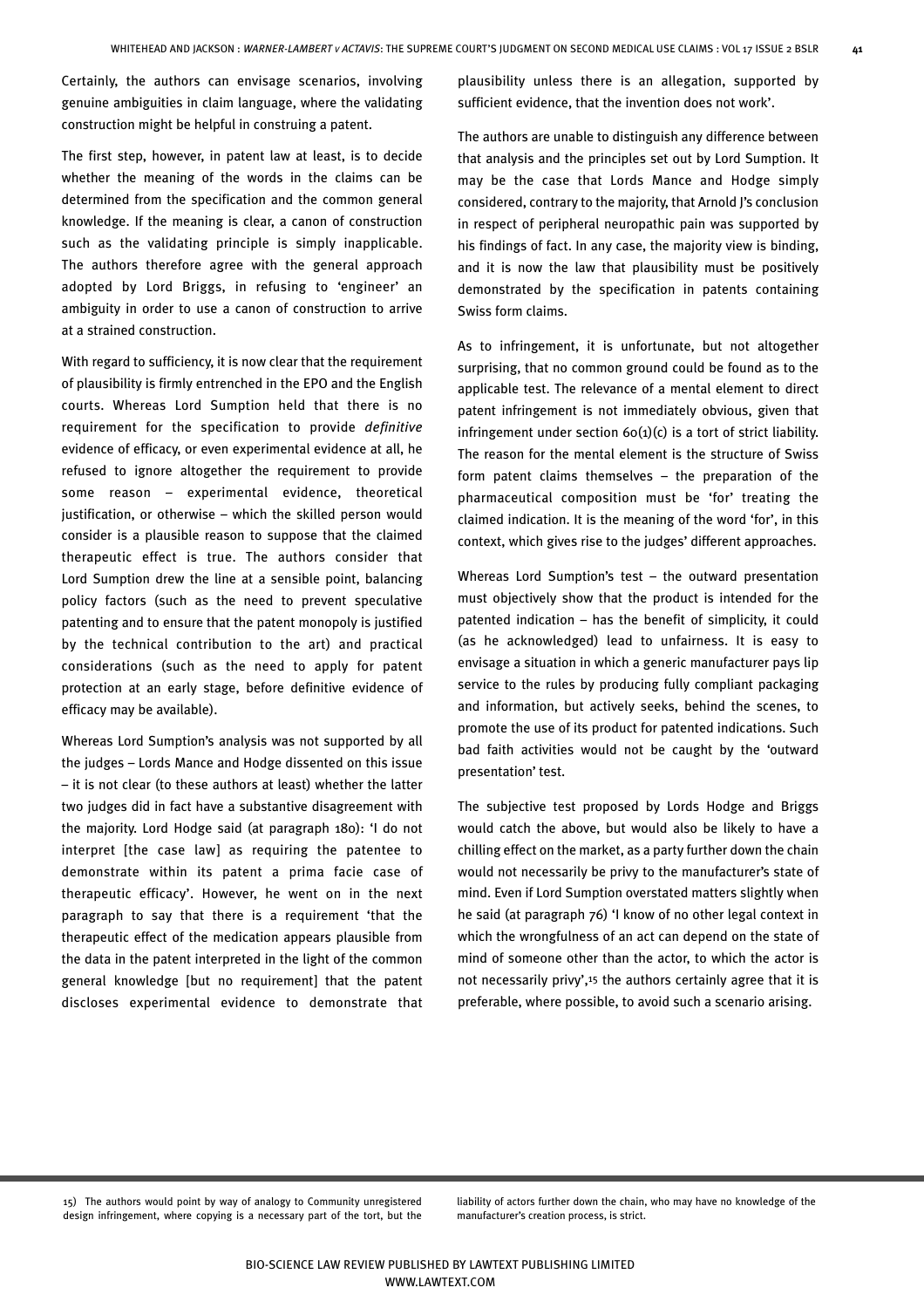Certainly, the authors can envisage scenarios, involving genuine ambiguities in claim language, where the validating construction might be helpful in construing a patent.

The first step, however, in patent law at least, is to decide whether the meaning of the words in the claims can be determined from the specification and the common general knowledge. If the meaning is clear, a canon of construction such as the validating principle is simply inapplicable. The authors therefore agree with the general approach adopted by Lord Briggs, in refusing to 'engineer' an ambiguity in order to use a canon of construction to arrive at a strained construction.

With regard to sufficiency, it is now clear that the requirement of plausibility is firmly entrenched in the EPO and the English courts. Whereas Lord Sumption held that there is no requirement for the specification to provide *definitive* evidence of efficacy, or even experimental evidence at all, he refused to ignore altogether the requirement to provide some reason – experimental evidence, theoretical justification, or otherwise – which the skilled person would consider is a plausible reason to suppose that the claimed therapeutic effect is true. The authors consider that Lord Sumption drew the line at a sensible point, balancing policy factors (such as the need to prevent speculative patenting and to ensure that the patent monopoly is justified by the technical contribution to the art) and practical considerations (such as the need to apply for patent protection at an early stage, before definitive evidence of efficacy may be available).

Whereas Lord Sumption's analysis was not supported by all the judges – Lords Mance and Hodge dissented on this issue – it is not clear (to these authors at least) whether the latter two judges did in fact have a substantive disagreement with the majority. Lord Hodge said (at paragraph 180): 'I do not interpret [the case law] as requiring the patentee to demonstrate within its patent a prima facie case of therapeutic efficacy'. However, he went on in the next paragraph to say that there is a requirement 'that the therapeutic effect of the medication appears plausible from the data in the patent interpreted in the light of the common general knowledge [but no requirement] that the patent discloses experimental evidence to demonstrate that

plausibility unless there is an allegation, supported by sufficient evidence, that the invention does not work'.

The authors are unable to distinguish any difference between that analysis and the principles set out by Lord Sumption. It may be the case that Lords Mance and Hodge simply considered, contrary to the majority, that Arnold J's conclusion in respect of peripheral neuropathic pain was supported by his findings of fact. In any case, the majority view is binding, and it is now the law that plausibility must be positively demonstrated by the specification in patents containing Swiss form claims.

As to infringement, it is unfortunate, but not altogether surprising, that no common ground could be found as to the applicable test. The relevance of a mental element to direct patent infringement is not immediately obvious, given that infringement under section  $60(1)(c)$  is a tort of strict liability. The reason for the mental element is the structure of Swiss form patent claims themselves – the preparation of the pharmaceutical composition must be 'for' treating the claimed indication. It is the meaning of the word 'for', in this context, which gives rise to the judges' different approaches.

Whereas Lord Sumption's test – the outward presentation must objectively show that the product is intended for the patented indication – has the benefit of simplicity, it could (as he acknowledged) lead to unfairness. It is easy to envisage a situation in which a generic manufacturer pays lip service to the rules by producing fully compliant packaging and information, but actively seeks, behind the scenes, to promote the use of its product for patented indications. Such bad faith activities would not be caught by the 'outward presentation' test.

The subjective test proposed by Lords Hodge and Briggs would catch the above, but would also be likely to have a chilling effect on the market, as a party further down the chain would not necessarily be privy to the manufacturer's state of mind. Even if Lord Sumption overstated matters slightly when he said (at paragraph 76) 'I know of no other legal context in which the wrongfulness of an act can depend on the state of mind of someone other than the actor, to which the actor is not necessarily privy',<sup>15</sup> the authors certainly agree that it is preferable, where possible, to avoid such a scenario arising.

15) The authors would point by way of analogy to Community unregistered design infringement, where copying is a necessary part of the tort, but the liability of actors further down the chain, who may have no knowledge of the manufacturer's creation process, is strict.